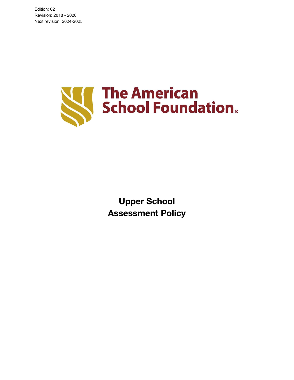

\_\_\_\_\_\_\_\_\_\_\_\_\_\_\_\_\_\_\_\_\_\_\_\_\_\_\_\_\_\_\_\_\_\_\_\_\_\_\_\_\_\_\_\_\_\_\_\_\_\_\_\_\_\_\_\_\_\_\_\_\_\_\_\_\_\_\_\_\_\_\_\_\_\_\_\_\_\_\_\_\_\_\_\_\_\_\_\_\_\_\_\_\_

**Upper School Assessment Policy**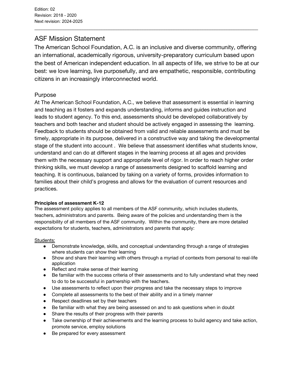# ASF Mission Statement

The American School Foundation, A.C. is an inclusive and diverse community, offering an international, academically rigorous, university-preparatory curriculum based upon the best of American independent education. In all aspects of life, we strive to be at our best: we love learning, live purposefully, and are empathetic, responsible, contributing citizens in an increasingly interconnected world.

\_\_\_\_\_\_\_\_\_\_\_\_\_\_\_\_\_\_\_\_\_\_\_\_\_\_\_\_\_\_\_\_\_\_\_\_\_\_\_\_\_\_\_\_\_\_\_\_\_\_\_\_\_\_\_\_\_\_\_\_\_\_\_\_\_\_\_\_\_\_\_\_\_\_\_\_\_\_\_\_\_\_\_\_\_\_\_\_\_\_\_\_\_

## Purpose

At The American School Foundation, A.C., we believe that assessment is essential in learning and teaching as it fosters and expands understanding, informs and guides instruction and leads to student agency. To this end, assessments should be developed collaboratively by teachers and both teacher and student should be actively engaged in assessing the learning. Feedback to students should be obtained from valid and reliable assessments and must be timely, appropriate in its purpose, delivered in a constructive way and taking the developmental stage of the student into account . We believe that assessment identifies what students know, understand and can do at different stages in the learning process at all ages and provides them with the necessary support and appropriate level of rigor. In order to reach higher order thinking skills, we must develop a range of assessments designed to scaffold learning and teaching. It is continuous, balanced by taking on a variety of forms, provides information to families about their child's progress and allows for the evaluation of current resources and practices.

## **Principles of assessment K-12**

The assessment policy applies to all members of the ASF community, which includes students, teachers, administrators and parents. Being aware of the policies and understanding them is the responsibility of all members of the ASF community. Within the community, there are more detailed expectations for students, teachers, administrators and parents that apply:

## Students:

- Demonstrate knowledge, skills, and conceptual understanding through a range of strategies where students can show their learning
- Show and share their learning with others through a myriad of contexts from personal to real-life application
- Reflect and make sense of their learning
- Be familiar with the success criteria of their assessments and to fully understand what they need to do to be successful in partnership with the teachers.
- Use assessments to reflect upon their progress and take the necessary steps to improve
- Complete all assessments to the best of their ability and in a timely manner
- Respect deadlines set by their teachers
- Be familiar with what they are being assessed on and to ask questions when in doubt
- Share the results of their progress with their parents
- Take ownership of their achievements and the learning process to build agency and take action, promote service, employ solutions
- Be prepared for every assessment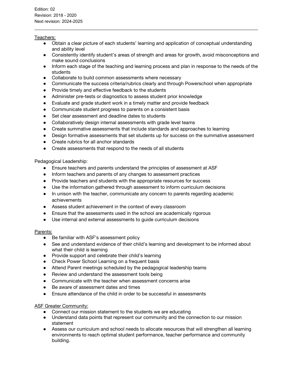#### Teachers:

● Obtain a clear picture of each students' learning and application of conceptual understanding and ability level

\_\_\_\_\_\_\_\_\_\_\_\_\_\_\_\_\_\_\_\_\_\_\_\_\_\_\_\_\_\_\_\_\_\_\_\_\_\_\_\_\_\_\_\_\_\_\_\_\_\_\_\_\_\_\_\_\_\_\_\_\_\_\_\_\_\_\_\_\_\_\_\_\_\_\_\_\_\_\_\_\_\_\_\_\_\_\_\_\_\_\_\_\_

- Consistently identify student's areas of strength and areas for growth, avoid misconceptions and make sound conclusions
- Inform each stage of the teaching and learning process and plan in response to the needs of the students
- Collaborate to build common assessments where necessary
- Communicate the success criteria/rubrics clearly and through Powerschool when appropriate
- Provide timely and effective feedback to the students
- Administer pre-tests or diagnostics to assess student prior knowledge
- Evaluate and grade student work in a timely matter and provide feedback
- Communicate student progress to parents on a consistent basis
- Set clear assessment and deadline dates to students
- Collaboratively design internal assessments with grade level teams
- Create summative assessments that include standards and approaches to learning
- Design formative assessments that set students up for success on the summative assessment
- Create rubrics for all anchor standards
- Create assessments that respond to the needs of all students

## Pedagogical Leadership:

- Ensure teachers and parents understand the principles of assessment at ASF
- Inform teachers and parents of any changes to assessment practices
- Provide teachers and students with the appropriate resources for success
- Use the information gathered through assessment to inform curriculum decisions
- In unison with the teacher, communicate any concern to parents regarding academic achievements
- Assess student achievement in the context of every classroom
- Ensure that the assessments used in the school are academically rigorous
- Use internal and external assessments to guide curriculum decisions

## Parents:

- Be familiar with ASF's assessment policy
- See and understand evidence of their child's learning and development to be informed about what their child is learning
- Provide support and celebrate their child's learning
- Check Power School Learning on a frequent basis
- Attend Parent meetings scheduled by the pedagogical leadership teams
- Review and understand the assessment tools being
- Communicate with the teacher when assessment concerns arise
- Be aware of assessment dates and times
- Ensure attendance of the child in order to be successful in assessments

## ASF Greater Community:

- Connect our mission statement to the students we are educating
- Understand data points that represent our community and the connection to our mission statement
- Assess our curriculum and school needs to allocate resources that will strengthen all learning environments to reach optimal student performance, teacher performance and community building.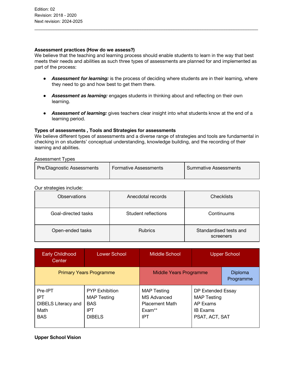## **Assessment practices (How do we assess?)**

We believe that the teaching and learning process should enable students to learn in the way that best meets their needs and abilities as such three types of assessments are planned for and implemented as part of the process:

\_\_\_\_\_\_\_\_\_\_\_\_\_\_\_\_\_\_\_\_\_\_\_\_\_\_\_\_\_\_\_\_\_\_\_\_\_\_\_\_\_\_\_\_\_\_\_\_\_\_\_\_\_\_\_\_\_\_\_\_\_\_\_\_\_\_\_\_\_\_\_\_\_\_\_\_\_\_\_\_\_\_\_\_\_\_\_\_\_\_\_\_\_

- *Assessment for learning:* is the process of deciding where students are in their learning, where they need to go and how best to get them there.
- *Assessment as learning:* engages students in thinking about and reflecting on their own learning.
- *Assessment of learning:* gives teachers clear insight into what students know at the end of a learning period.

## **Types of assessments , Tools and Strategies for assessments**

We believe different types of assessments and a diverse range of strategies and tools are fundamental in checking in on students' conceptual understanding, knowledge building, and the recording of their learning and abilities.

#### Assessment Types

|  | Pre/Diagnostic Assessments | <b>Formative Assessments</b> | Summative Assessments |
|--|----------------------------|------------------------------|-----------------------|
|--|----------------------------|------------------------------|-----------------------|

#### Our strategies include:

| <b>Observations</b> | Anecdotal records   | <b>Checklists</b>                   |
|---------------------|---------------------|-------------------------------------|
| Goal-directed tasks | Student reflections | Continuums                          |
| Open-ended tasks    | <b>Rubrics</b>      | Standardised tests and<br>screeners |

| <b>Early Childhood</b><br>Center                                          | <b>Lower School</b>                                                               | Middle School<br><b>Upper School</b>                                                 |                                                                                          |                      |
|---------------------------------------------------------------------------|-----------------------------------------------------------------------------------|--------------------------------------------------------------------------------------|------------------------------------------------------------------------------------------|----------------------|
| <b>Primary Years Programme</b>                                            |                                                                                   | Middle Years Programme                                                               |                                                                                          | Diploma<br>Programme |
| Pre-IPT<br><b>IPT</b><br><b>DIBELS Literacy and</b><br>Math<br><b>BAS</b> | <b>PYP Exhibition</b><br><b>MAP Testing</b><br><b>BAS</b><br>IPT<br><b>DIBELS</b> | <b>MAP Testing</b><br>MS Advanced<br><b>Placement Math</b><br>$Exam**$<br><b>IPT</b> | DP Extended Essay<br><b>MAP Testing</b><br>AP Exams<br><b>IB Exams</b><br>PSAT, ACT, SAT |                      |

#### **Upper School Vision**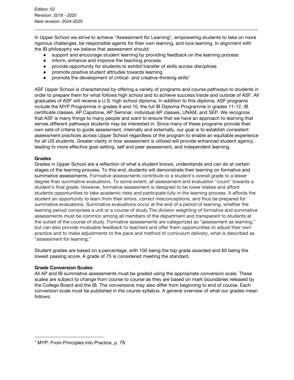In Upper School we strive to achieve "Assessment for Learning", empowering students to take on more rigorous challenges, be responsible agents for their own learning, and love learning. In alignment with the IB philosophy we believe that assessment should:

\_\_\_\_\_\_\_\_\_\_\_\_\_\_\_\_\_\_\_\_\_\_\_\_\_\_\_\_\_\_\_\_\_\_\_\_\_\_\_\_\_\_\_\_\_\_\_\_\_\_\_\_\_\_\_\_\_\_\_\_\_\_\_\_\_\_\_\_\_\_\_\_\_\_\_\_\_\_\_\_\_\_\_\_\_\_\_\_\_\_\_\_\_

- support and encourage student learning by providing feedback on the learning process
- inform, enhance and improve the teaching process
- provide opportunity for students to exhibit transfer of skills across disciplines
- promote positive student attitudes towards learning
- promote the development of critical- and creative-thinking skills<sup>1</sup>

ASF Upper School is characterized by offering a variety of programs and course pathways to students in order to prepare them for what follows high school and to achieve success inside and outside of ASF. All graduates of ASF will receive a U.S. high school diploma. In addition to this diploma, ASF programs include the MYP Programme in grades 9 and 10, the full IB Diploma Programme in grades 11-12, IB certificate classes, AP Capstone, AP Seminar, individual AP classes, UNAM, and SEP. We recognize that ASF is many things to many people and want to ensure that we have an approach to learning that serves different pathways students may be interested in. Since many of these programs provide their own sets of criteria to guide assessment, internally and externally, our goal is to establish consistent assessment practices across Upper School regardless of the program to enable an equitable experience for all US students. Greater clarity in how assessment is utilized will provide enhanced student agency, leading to more effective goal-setting, self and peer assessment, and independent learning.

#### **Grades**

Grades in Upper School are a reflection of what a student knows, understands and can do at certain stages of the learning process. To this end, students will demonstrate their learning on formative and summative assessments. Formative assessments contribute to a student's overall grade to a lesser degree than summative evaluations. To some extent, all assessment and evaluation "count" towards a student's final grade. However, formative assessment is designed to be lower stakes and afford students opportunities to take academic risks and participate fully in the learning process. It affords the student an opportunity to learn from their errors, correct misconceptions, and thus be prepared for summative evaluations. Summative evaluations occur at the end of a period of learning, whether the learning period comprises a unit or a course of study.The division weighting of formative and summative assessments must be common among all members of the department and transparent to students at the outset of the course of study. Formative assessments are categorized as "assessment as learning," but can also provide invaluable feedback to teachers and offer them opportunities to adjust their own practice and to make adjustments to the pace and method of curriculum delivery, what is described as "assessment for learning."

Student grades are based on a percentage, with 100 being the top grade awarded and 60 being the lowest passing score. A grade of 75 is considered meeting the standard.

#### **Grade Conversion Scales**:

All AP and IB summative assessments must be graded using the appropriate conversion scale. These scales are subject to change from course to course as they are based on mark boundaries released by the College Board and the IB. The conversions may also differ from beginning to end of course. Each conversion scale must be published in the course syllabus. A general overview of what our grades mean follows:

<sup>&</sup>lt;sup>1</sup> MYP: From Principles into Practice, p. 78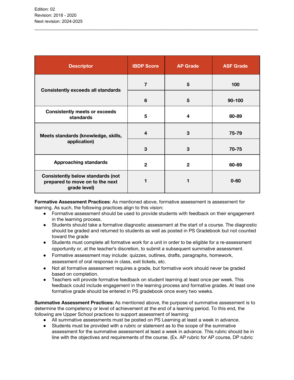| <b>Descriptor</b>                                                                           | <b>IBDP Score</b>       | <b>AP Grade</b> | <b>ASF Grade</b> |
|---------------------------------------------------------------------------------------------|-------------------------|-----------------|------------------|
| <b>Consistently exceeds all standards</b>                                                   | $\overline{7}$          | 5               | 100              |
|                                                                                             | 6                       | 5               | $90 - 100$       |
| <b>Consistently meets or exceeds</b><br>standards                                           | 5                       | 4               | 80-89            |
| Meets standards (knowledge, skills,<br>application)                                         | $\overline{\mathbf{4}}$ | 3               | 75-79            |
|                                                                                             | 3                       | 3               | 70-75            |
| <b>Approaching standards</b>                                                                | $\mathbf{2}$            | $\mathbf{2}$    | 60-69            |
| <b>Consistently below standards (not</b><br>prepared to move on to the next<br>grade level) |                         |                 | $0 - 60$         |

\_\_\_\_\_\_\_\_\_\_\_\_\_\_\_\_\_\_\_\_\_\_\_\_\_\_\_\_\_\_\_\_\_\_\_\_\_\_\_\_\_\_\_\_\_\_\_\_\_\_\_\_\_\_\_\_\_\_\_\_\_\_\_\_\_\_\_\_\_\_\_\_\_\_\_\_\_\_\_\_\_\_\_\_\_\_\_\_\_\_\_\_\_

**Formative Assessment Practices**: As mentioned above, formative assessment is assessment for learning. As such, the following practices align to this vision:

- Formative assessment should be used to provide students with feedback on their engagement in the learning process.
- Students should take a formative diagnostic assessment at the start of a course. The diagnostic should be graded and returned to students as well as posted in PS Gradebook but not counted toward the grade
- Students must complete all formative work for a unit in order to be eligible for a re-assessment opportunity or, at the teacher's discretion, to submit a subsequent summative assessment.
- Formative assessment may include: quizzes, outlines, drafts, paragraphs, homework, assessment of oral response in class, exit tickets, etc.
- Not all formative assessment requires a grade, but formative work should never be graded based on completion.
- Teachers will provide formative feedback on student learning at least once per week. This feedback could include engagement in the learning process and formative grades. At least one formative grade should be entered in PS gradebook once every two weeks.

**Summative Assessment Practices:** As mentioned above, the purpose of summative assessment is to determine the competency or level of achievement at the end of a learning period. To this end, the following are Upper School practices to support assessment of learning:

- All summative assessments must be posted on PS Learning at least a week in advance.
- Students must be provided with a rubric or statement as to the scope of the summative assessment for the summative assessment at least a week in advance. This rubric should be in line with the objectives and requirements of the course. (Ex. AP rubric for AP course, DP rubric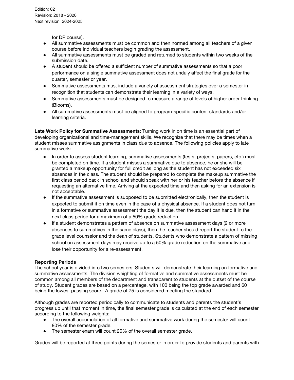for DP course).

● All summative assessments must be common and then normed among all teachers of a given course before individual teachers begin grading the assessment.

\_\_\_\_\_\_\_\_\_\_\_\_\_\_\_\_\_\_\_\_\_\_\_\_\_\_\_\_\_\_\_\_\_\_\_\_\_\_\_\_\_\_\_\_\_\_\_\_\_\_\_\_\_\_\_\_\_\_\_\_\_\_\_\_\_\_\_\_\_\_\_\_\_\_\_\_\_\_\_\_\_\_\_\_\_\_\_\_\_\_\_\_\_

- All summative assessments must be graded and returned to students within two weeks of the submission date.
- A student should be offered a sufficient number of summative assessments so that a poor performance on a single summative assessment does not unduly affect the final grade for the quarter, semester or year.
- Summative assessments must include a variety of assessment strategies over a semester in recognition that students can demonstrate their learning in a variety of ways.
- Summative assessments must be designed to measure a range of levels of higher order thinking (Blooms).
- All summative assessments must be aligned to program-specific content standards and/or learning criteria.

**Late Work Policy for Summative Assessments:** Turning work in on time is an essential part of developing organizational and time-management skills. We recognize that there may be times when a student misses summative assignments in class due to absence. The following policies apply to late summative work:

- In order to assess student learning, summative assessments (tests, projects, papers, etc.) must be completed on time. If a student misses a summative due to absence, he or she will be granted a makeup opportunity for full credit as long as the student has not exceeded six absences in the class. The student should be prepared to complete the makeup summative the first class period back in school and should speak with her or his teacher before the absence if requesting an alternative time. Arriving at the expected time and then asking for an extension is not acceptable.
- If the summative assessment is supposed to be submitted electronically, then the student is expected to submit it on time even in the case of a physical absence. If a student does not turn in a formative or summative assessment the day it is due, then the student can hand it in the next class period for a maximum of a 50% grade reduction.
- If a student demonstrates a pattern of absence on summative assessment days (2 or more absences to summatives in the same class), then the teacher should report the student to the grade level counselor and the dean of students. Students who demonstrate a pattern of missing school on assessment days may receive up to a 50% grade reduction on the summative and lose their opportunity for a re-assessment.

## **Reporting Periods**

The school year is divided into two semesters. Students will demonstrate their learning on formative and summative assessments. The division weighting of formative and summative assessments must be common among all members of the department and transparent to students at the outset of the course of study. Student grades are based on a percentage, with 100 being the top grade awarded and 60 being the lowest passing score. A grade of 75 is considered meeting the standard.

Although grades are reported periodically to communicate to students and parents the student's progress up until that moment in time, the final semester grade is calculated at the end of each semester according to the following weights:

- The overall accumulation of all formative and summative work during the semester will count 80% of the semester grade.
- The semester exam will count 20% of the overall semester grade.

Grades will be reported at three points during the semester in order to provide students and parents with